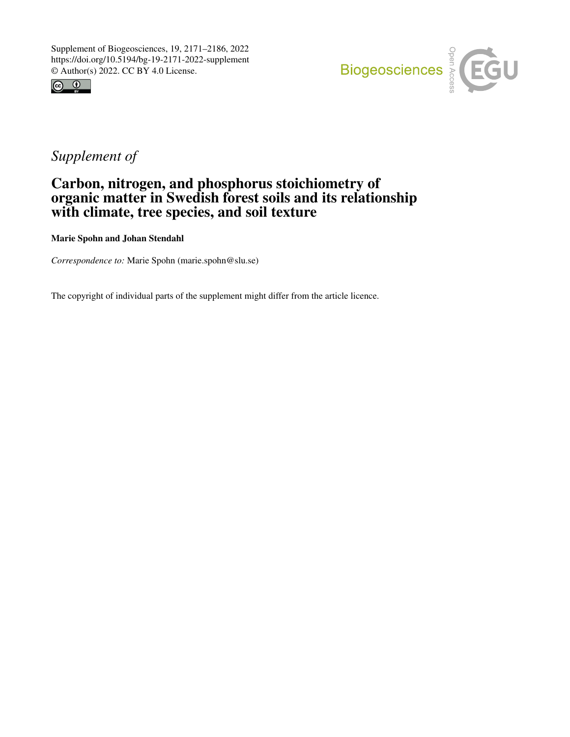



## *Supplement of*

## Carbon, nitrogen, and phosphorus stoichiometry of organic matter in Swedish forest soils and its relationship with climate, tree species, and soil texture

Marie Spohn and Johan Stendahl

*Correspondence to:* Marie Spohn (marie.spohn@slu.se)

The copyright of individual parts of the supplement might differ from the article licence.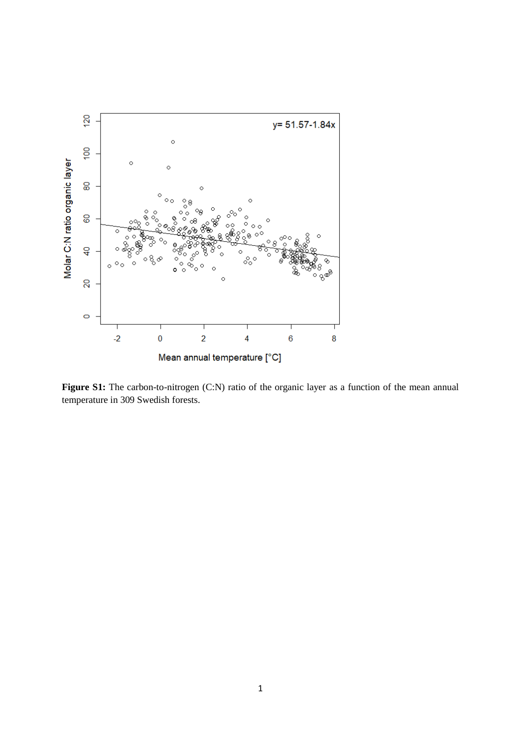

Figure S1: The carbon-to-nitrogen (C:N) ratio of the organic layer as a function of the mean annual temperature in 309 Swedish forests.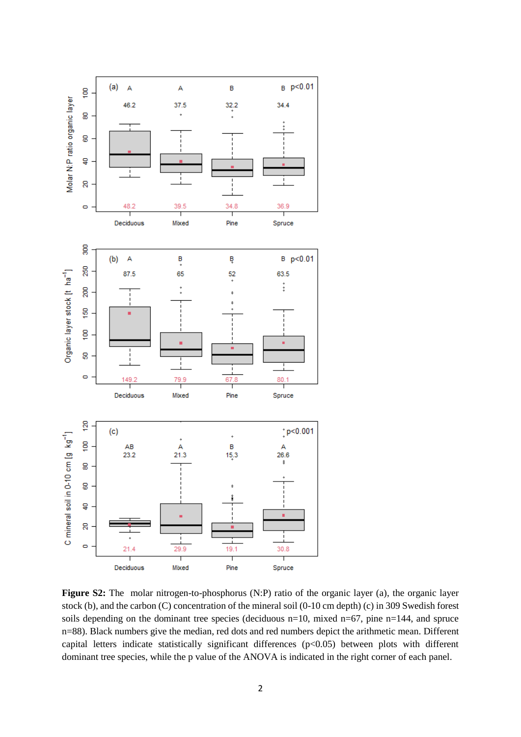

**Figure S2:** The molar nitrogen-to-phosphorus (N:P) ratio of the organic layer (a), the organic layer stock (b), and the carbon (C) concentration of the mineral soil (0-10 cm depth) (c) in 309 Swedish forest soils depending on the dominant tree species (deciduous  $n=10$ , mixed  $n=67$ , pine  $n=144$ , and spruce n=88). Black numbers give the median, red dots and red numbers depict the arithmetic mean. Different capital letters indicate statistically significant differences (p<0.05) between plots with different dominant tree species, while the p value of the ANOVA is indicated in the right corner of each panel.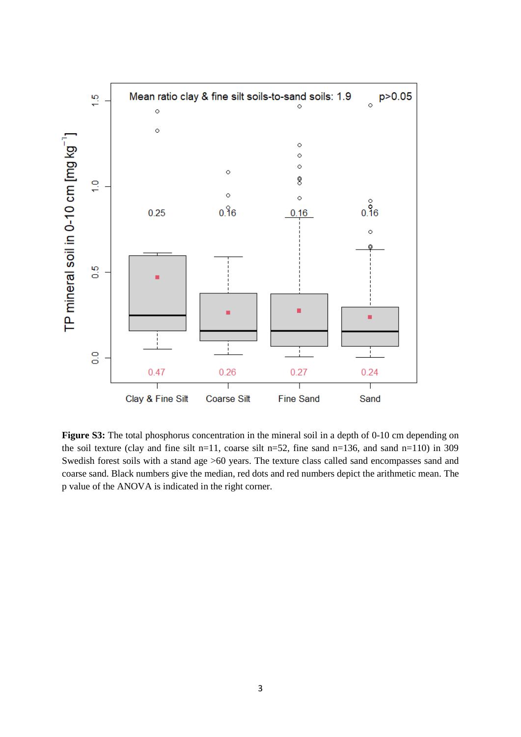

**Figure S3:** The total phosphorus concentration in the mineral soil in a depth of 0-10 cm depending on the soil texture (clay and fine silt n=11, coarse silt n=52, fine sand n=136, and sand n=110) in 309 Swedish forest soils with a stand age >60 years. The texture class called sand encompasses sand and coarse sand. Black numbers give the median, red dots and red numbers depict the arithmetic mean. The p value of the ANOVA is indicated in the right corner.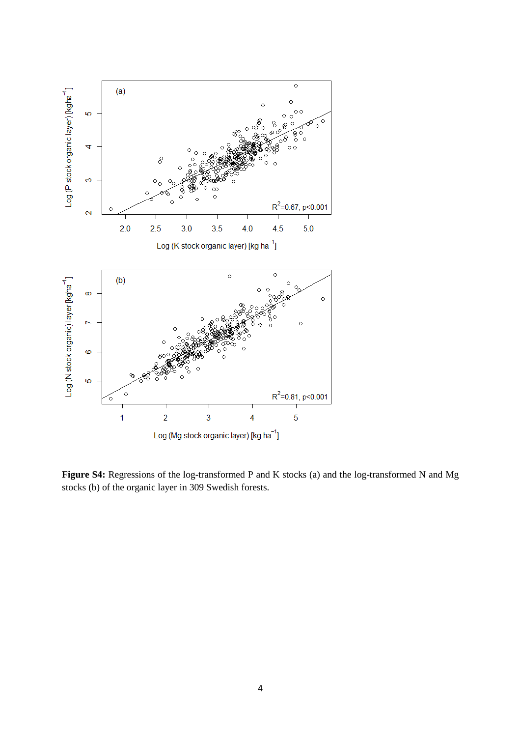

Figure S4: Regressions of the log-transformed P and K stocks (a) and the log-transformed N and Mg stocks (b) of the organic layer in 309 Swedish forests.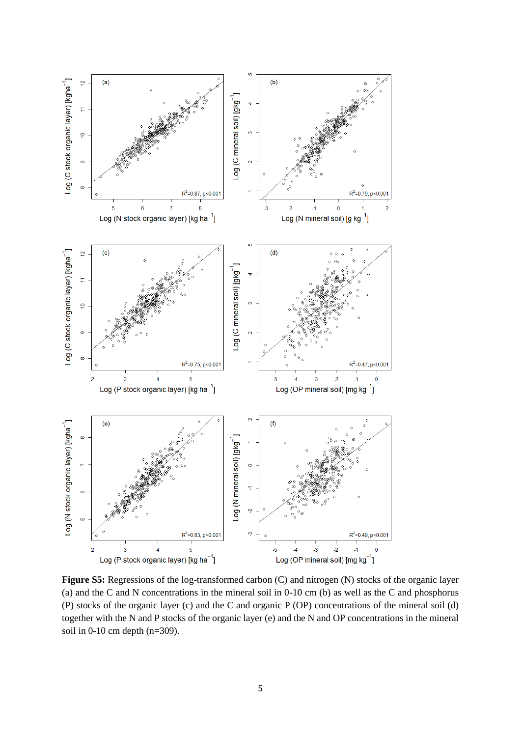

**Figure S5:** Regressions of the log-transformed carbon (C) and nitrogen (N) stocks of the organic layer (a) and the C and N concentrations in the mineral soil in 0-10 cm (b) as well as the C and phosphorus (P) stocks of the organic layer (c) and the C and organic P (OP) concentrations of the mineral soil (d) together with the N and P stocks of the organic layer (e) and the N and OP concentrations in the mineral soil in 0-10 cm depth (n=309).